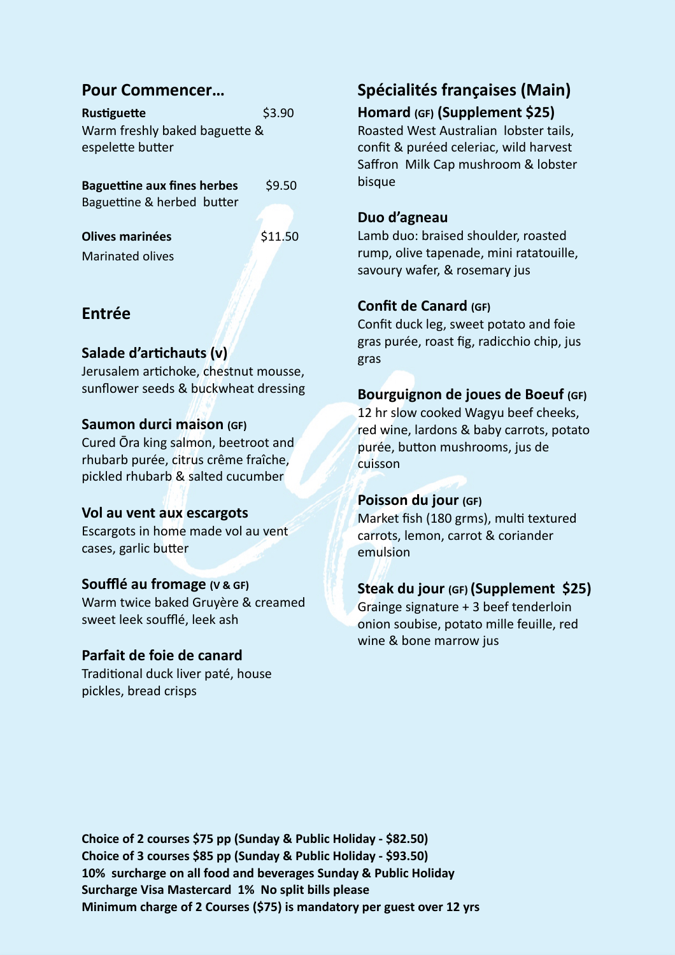## **Pour Commencer…**

**Rustiguette** \$3.90 Warm freshly baked baguette & espelette butter

**Baguettine aux fines herbes** \$9.50 Baguettine & herbed butter

**Olives marinées \$11.50** Marinated olives

## **Entrée**

## **Salade d'artichauts (v)**

Jerusalem artichoke, chestnut mousse, sunflower seeds & buckwheat dressing

#### **Saumon durci maison (GF)**

Cured Ōra king salmon, beetroot and rhubarb purée, citrus crême fraîche, pickled rhubarb & salted cucumber

#### **Vol au vent aux escargots**

Escargots in home made vol au vent cases, garlic butter

#### **Soufflé au fromage (V & GF)**

Warm twice baked Gruyère & creamed sweet leek soufflé, leek ash

#### **Parfait de foie de canard**

Traditional duck liver paté, house pickles, bread crisps

# **Spécialités françaises (Main)**

## **Homard (GF) (Supplement \$25)**

Roasted West Australian lobster tails, confit & puréed celeriac, wild harvest Saffron Milk Cap mushroom & lobster bisque

## **Duo d'agneau**

Lamb duo: braised shoulder, roasted rump, olive tapenade, mini ratatouille, savoury wafer, & rosemary jus

## **Confit de Canard (GF)**

Confit duck leg, sweet potato and foie gras purée, roast fig, radicchio chip, jus gras

## **Bourguignon de joues de Boeuf (GF)**

12 hr slow cooked Wagyu beef cheeks, red wine, lardons & baby carrots, potato purée, button mushrooms, jus de cuisson

#### **Poisson du jour (GF)**

Market fish (180 grms), multi textured carrots, lemon, carrot & coriander emulsion

#### **Steak du jour (GF) (Supplement \$25)**

Grainge signature + 3 beef tenderloin onion soubise, potato mille feuille, red wine & bone marrow jus

**Choice of 2 courses \$75 pp (Sunday & Public Holiday - \$82.50) Choice of 3 courses \$85 pp (Sunday & Public Holiday - \$93.50) 10% surcharge on all food and beverages Sunday & Public Holiday Surcharge Visa Mastercard 1% No split bills please Minimum charge of 2 Courses (\$75) is mandatory per guest over 12 yrs**